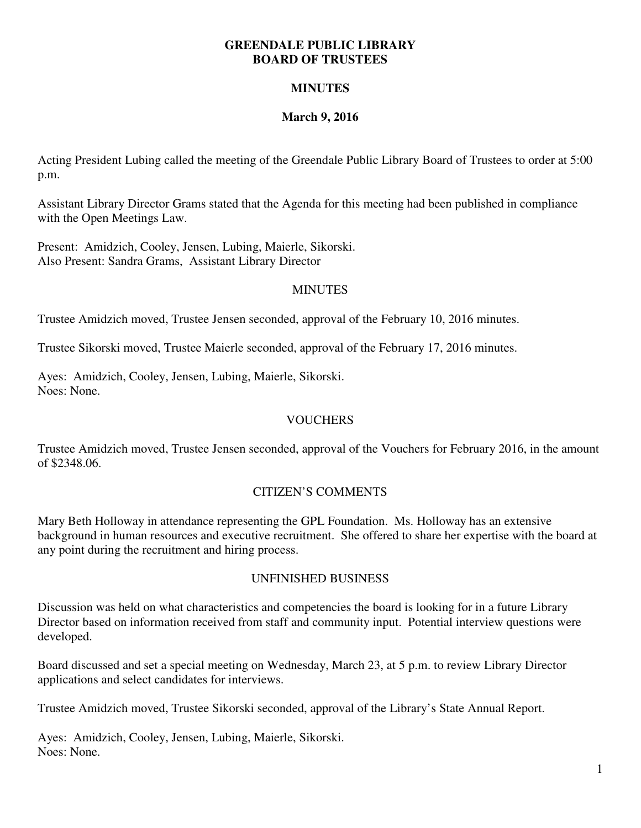#### **GREENDALE PUBLIC LIBRARY BOARD OF TRUSTEES**

## **MINUTES**

# **March 9, 2016**

Acting President Lubing called the meeting of the Greendale Public Library Board of Trustees to order at 5:00 p.m.

Assistant Library Director Grams stated that the Agenda for this meeting had been published in compliance with the Open Meetings Law.

Present: Amidzich, Cooley, Jensen, Lubing, Maierle, Sikorski. Also Present: Sandra Grams, Assistant Library Director

### **MINUTES**

Trustee Amidzich moved, Trustee Jensen seconded, approval of the February 10, 2016 minutes.

Trustee Sikorski moved, Trustee Maierle seconded, approval of the February 17, 2016 minutes.

Ayes: Amidzich, Cooley, Jensen, Lubing, Maierle, Sikorski. Noes: None.

## **VOUCHERS**

Trustee Amidzich moved, Trustee Jensen seconded, approval of the Vouchers for February 2016, in the amount of \$2348.06.

### CITIZEN'S COMMENTS

Mary Beth Holloway in attendance representing the GPL Foundation. Ms. Holloway has an extensive background in human resources and executive recruitment. She offered to share her expertise with the board at any point during the recruitment and hiring process.

### UNFINISHED BUSINESS

Discussion was held on what characteristics and competencies the board is looking for in a future Library Director based on information received from staff and community input. Potential interview questions were developed.

Board discussed and set a special meeting on Wednesday, March 23, at 5 p.m. to review Library Director applications and select candidates for interviews.

Trustee Amidzich moved, Trustee Sikorski seconded, approval of the Library's State Annual Report.

Ayes: Amidzich, Cooley, Jensen, Lubing, Maierle, Sikorski. Noes: None.